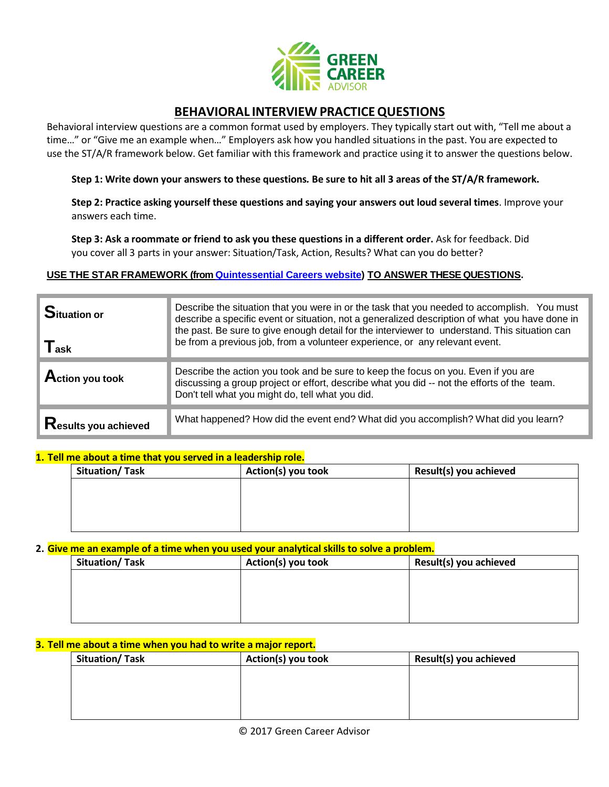

# **BEHAVIORAL INTERVIEW PRACTICEQUESTIONS**

Behavioral interview questions are a common format used by employers. They typically start out with, "Tell me about a time…" or "Give me an example when…" Employers ask how you handled situations in the past. You are expected to use the ST/A/R framework below. Get familiar with this framework and practice using it to answer the questions below.

**Step 1: Write down your answers to these questions***.* **Be sure to hit all 3 areas of the ST/A/R framework.**

**Step 2: Practice asking yourself these questions and saying your answers out loud several times**. Improve your answers each time.

**Step 3: Ask a roommate or friend to ask you these questions in a different order.** Ask for feedback. Did you cover all 3 parts in your answer: Situation/Task, Action, Results? What can you do better?

### **USE THE STAR FRAMEWORK (fro[m Quintessential Careers website\)](http://www.quintcareers.com/STAR_interviewing.html) TO ANSWER THESE QUESTIONS.**

| $\triangle$ Situation or<br>$\mathsf{T}_{\mathsf{ask}}$ | Describe the situation that you were in or the task that you needed to accomplish. You must<br>describe a specific event or situation, not a generalized description of what you have done in<br>the past. Be sure to give enough detail for the interviewer to understand. This situation can<br>be from a previous job, from a volunteer experience, or any relevant event. |
|---------------------------------------------------------|-------------------------------------------------------------------------------------------------------------------------------------------------------------------------------------------------------------------------------------------------------------------------------------------------------------------------------------------------------------------------------|
| <b>Action you took</b>                                  | Describe the action you took and be sure to keep the focus on you. Even if you are<br>discussing a group project or effort, describe what you did -- not the efforts of the team.<br>Don't tell what you might do, tell what you did.                                                                                                                                         |
| Results you achieved                                    | What happened? How did the event end? What did you accomplish? What did you learn?                                                                                                                                                                                                                                                                                            |

### **1. Tell me about a time that you served in a leadership role.**

| <b>Situation/Task</b> | Action(s) you took | Result(s) you achieved |
|-----------------------|--------------------|------------------------|
|                       |                    |                        |
|                       |                    |                        |
|                       |                    |                        |
|                       |                    |                        |

#### **2. Give me an example of a time when you used your analytical skills to solve a problem.**

| <b>Situation/Task</b> | Action(s) you took | Result(s) you achieved |
|-----------------------|--------------------|------------------------|
|                       |                    |                        |
|                       |                    |                        |
|                       |                    |                        |
|                       |                    |                        |

#### **3. Tell me about a time when you had to write a major report.**

| <b>Situation/Task</b> | Action(s) you took | Result(s) you achieved |
|-----------------------|--------------------|------------------------|
|                       |                    |                        |
|                       |                    |                        |
|                       |                    |                        |
|                       |                    |                        |